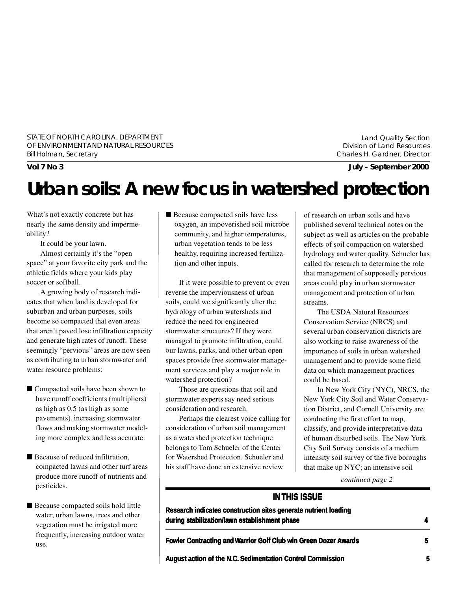STATE OF NORTH CAROLINA, DEPARTMENT OF ENVIRONMENT AND NATURAL RESOURCES Bill Holman, Secretary

Land Quality Section Division of Land Resources Charles H. Gardner, Director

**Vol 7 No 3 July - September 2000**

# **Urban soils: A new focus in watershed protection**

What's not exactly concrete but has nearly the same density and impermeability?

It could be your lawn.

Almost certainly it's the "open space" at your favorite city park and the athletic fields where your kids play soccer or softball.

A growing body of research indicates that when land is developed for suburban and urban purposes, soils become so compacted that even areas that aren't paved lose infiltration capacity and generate high rates of runoff. These seemingly "pervious" areas are now seen as contributing to urban stormwater and water resource problems:

- Compacted soils have been shown to have runoff coefficients (multipliers) as high as 0.5 (as high as some pavements), increasing stormwater flows and making stormwater modeling more complex and less accurate.
- Because of reduced infiltration. compacted lawns and other turf areas produce more runoff of nutrients and pesticides.
- Because compacted soils hold little water, urban lawns, trees and other vegetation must be irrigated more frequently, increasing outdoor water use.

■ Because compacted soils have less oxygen, an impoverished soil microbe community, and higher temperatures, urban vegetation tends to be less healthy, requiring increased fertilization and other inputs.

If it were possible to prevent or even reverse the imperviousness of urban soils, could we significantly alter the hydrology of urban watersheds and reduce the need for engineered stormwater structures? If they were managed to promote infiltration, could our lawns, parks, and other urban open spaces provide free stormwater management services and play a major role in watershed protection?

Those are questions that soil and stormwater experts say need serious consideration and research.

Perhaps the clearest voice calling for consideration of urban soil management as a watershed protection technique belongs to Tom Schueler of the Center for Watershed Protection. Schueler and his staff have done an extensive review

of research on urban soils and have published several technical notes on the subject as well as articles on the probable effects of soil compaction on watershed hydrology and water quality. Schueler has called for research to determine the role that management of supposedly pervious areas could play in urban stormwater management and protection of urban streams.

The USDA Natural Resources Conservation Service (NRCS) and several urban conservation districts are also working to raise awareness of the importance of soils in urban watershed management and to provide some field data on which management practices could be based.

In New York City (NYC), NRCS, the New York City Soil and Water Conservation District, and Cornell University are conducting the first effort to map, classify, and provide interpretative data of human disturbed soils. The New York City Soil Survey consists of a medium intensity soil survey of the five boroughs that make up NYC; an intensive soil

*continued page 2*

#### **IN THIS ISSUE**

**Research indicates construction sites generate nutrient loading during stabilization/lawn establishment phase 4**

**Fowler Contracting and Warrior Golf Club win Green Dozer Awards 5**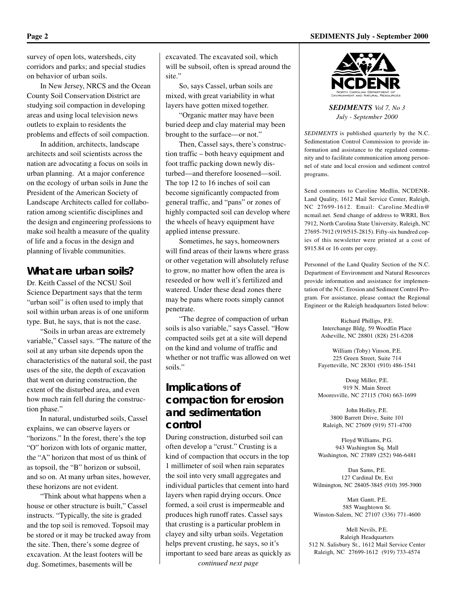survey of open lots, watersheds, city corridors and parks; and special studies on behavior of urban soils.

In New Jersey, NRCS and the Ocean County Soil Conservation District are studying soil compaction in developing areas and using local television news outlets to explain to residents the problems and effects of soil compaction.

In addition, architects, landscape architects and soil scientists across the nation are advocating a focus on soils in urban planning. At a major conference on the ecology of urban soils in June the President of the American Society of Landscape Architects called for collaboration among scientific disciplines and the design and engineering professions to make soil health a measure of the quality of life and a focus in the design and planning of livable communities.

### **What are urban soils?**

Dr. Keith Cassel of the NCSU Soil Science Department says that the term "urban soil" is often used to imply that soil within urban areas is of one uniform type. But, he says, that is not the case.

"Soils in urban areas are extremely variable," Cassel says. "The nature of the soil at any urban site depends upon the characteristics of the natural soil, the past uses of the site, the depth of excavation that went on during construction, the extent of the disturbed area, and even how much rain fell during the construction phase."

In natural, undisturbed soils, Cassel explains, we can observe layers or "horizons." In the forest, there's the top "O" horizon with lots of organic matter, the "A" horizon that most of us think of as topsoil, the "B" horizon or subsoil, and so on. At many urban sites, however, these horizons are not evident.

"Think about what happens when a house or other structure is built," Cassel instructs. "Typically, the site is graded and the top soil is removed. Topsoil may be stored or it may be trucked away from the site. Then, there's some degree of excavation. At the least footers will be dug. Sometimes, basements will be

excavated. The excavated soil, which will be subsoil, often is spread around the site."

So, says Cassel, urban soils are mixed, with great variability in what layers have gotten mixed together.

"Organic matter may have been buried deep and clay material may been brought to the surface—or not."

Then, Cassel says, there's construction traffic – both heavy equipment and foot traffic packing down newly disturbed—and therefore loosened—soil. The top 12 to 16 inches of soil can become significantly compacted from general traffic, and "pans" or zones of highly compacted soil can develop where the wheels of heavy equipment have applied intense pressure.

Sometimes, he says, homeowners will find areas of their lawns where grass or other vegetation will absolutely refuse to grow, no matter how often the area is reseeded or how well it's fertilized and watered. Under these dead zones there may be pans where roots simply cannot penetrate.

"The degree of compaction of urban soils is also variable," says Cassel. "How compacted soils get at a site will depend on the kind and volume of traffic and whether or not traffic was allowed on wet soils."

### **Implications of compaction for erosion and sedimentation control**

During construction, disturbed soil can often develop a "crust." Crusting is a kind of compaction that occurs in the top 1 millimeter of soil when rain separates the soil into very small aggregates and individual particles that cement into hard layers when rapid drying occurs. Once formed, a soil crust is impermeable and produces high runoff rates. Cassel says that crusting is a particular problem in clayey and silty urban soils. Vegetation helps prevent crusting, he says, so it's important to seed bare areas as quickly as *continued next page*

**Page 2 SEDIMENTS July - September 2000**



*SEDIMENTS Vol 7, No 3 July - September 2000*

*SEDIMENTS* is published quarterly by the N.C. Sedimentation Control Commission to provide information and assistance to the regulated community and to facilitate communication among personnel of state and local erosion and sediment control programs.

Send comments to Caroline Medlin, NCDENR-Land Quality, 1612 Mail Service Center, Raleigh, NC 27699-1612. Email: Caroline.Medlin@ ncmail.net. Send change of address to WRRI, Box 7912, North Carolina State University, Raleigh, NC 27695-7912 (919/515-2815). Fifty-six hundred copies of this newsletter were printed at a cost of \$915.84 or 16 cents per copy.

Personnel of the Land Quality Section of the N.C. Department of Environment and Natural Resources provide information and assistance for implementation of the N.C. Erosion and Sediment Control Program. For assistance, please contact the Regional Engineer or the Raleigh headquarters listed below:

> Richard Phillips, P.E. Interchange Bldg, 59 Woodfin Place Asheville, NC 28801 (828) 251-6208

William (Toby) Vinson, P.E. 225 Green Street, Suite 714 Fayetteville, NC 28301 (910) 486-1541

Doug Miller, P.E. 919 N. Main Street Mooresville, NC 27115 (704) 663-1699

John Holley, P.E. 3800 Barrett Drive, Suite 101 Raleigh, NC 27609 (919) 571-4700

Floyd Williams, P.G. 943 Washington Sq. Mall Washington, NC 27889 (252) 946-6481

Dan Sams, P.E. 127 Cardinal Dr, Ext Wilmington, NC 28405-3845 (910) 395-3900

Matt Gantt, P.E. 585 Waughtown St. Winston-Salem, NC 27107 (336) 771-4600

Mell Nevils, P.E. Raleigh Headquarters 512 N. Salisbury St., 1612 Mail Service Center Raleigh, NC 27699-1612 (919) 733-4574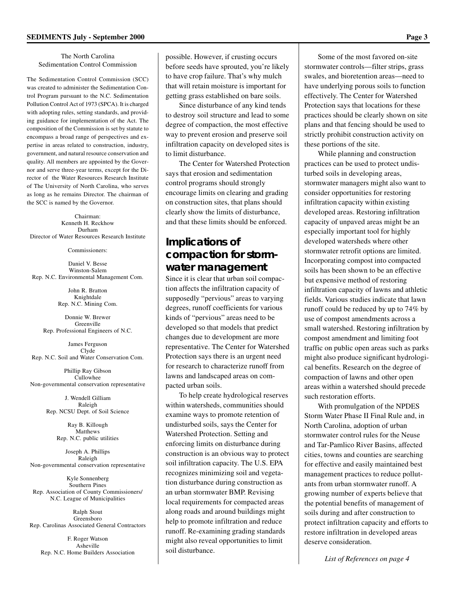The North Carolina Sedimentation Control Commission

The Sedimentation Control Commission (SCC) was created to administer the Sedimentation Control Program pursuant to the N.C. Sedimentation Pollution Control Act of 1973 (SPCA). It is charged with adopting rules, setting standards, and providing guidance for implementation of the Act. The composition of the Commission is set by statute to encompass a broad range of perspectives and expertise in areas related to construction, industry, government, and natural resource conservation and quality. All members are appointed by the Governor and serve three-year terms, except for the Director of the Water Resources Research Institute of The University of North Carolina, who serves as long as he remains Director. The chairman of the SCC is named by the Governor.

Chairman: Kenneth H. Reckhow Durham Director of Water Resources Research Institute

Commissioners:

Daniel V. Besse Winston-Salem Rep. N.C. Environmental Management Com.

> John R. Bratton Knightdale Rep. N.C. Mining Com.

Donnie W. Brewer Greenville Rep. Professional Engineers of N.C.

James Ferguson Clyde Rep. N.C. Soil and Water Conservation Com.

Phillip Ray Gibson Cullowhee Non-governmental conservation representative

> J. Wendell Gilliam Raleigh Rep. NCSU Dept. of Soil Science

> > Ray B. Killough Matthews Rep. N.C. public utilities

Joseph A. Phillips Raleigh Non-governmental conservation representative

Kyle Sonnenberg Southern Pines Rep. Association of County Commissioners/ N.C. League of Municipalities

Ralph Stout Greensboro Rep. Carolinas Associated General Contractors

F. Roger Watson Asheville Rep. N.C. Home Builders Association possible. However, if crusting occurs before seeds have sprouted, you're likely to have crop failure. That's why mulch that will retain moisture is important for getting grass established on bare soils.

Since disturbance of any kind tends to destroy soil structure and lead to some degree of compaction, the most effective way to prevent erosion and preserve soil infiltration capacity on developed sites is to limit disturbance.

The Center for Watershed Protection says that erosion and sedimentation control programs should strongly encourage limits on clearing and grading on construction sites, that plans should clearly show the limits of disturbance, and that these limits should be enforced.

### **Implications of compaction for stormwater management**

Since it is clear that urban soil compaction affects the infiltration capacity of supposedly "pervious" areas to varying degrees, runoff coefficients for various kinds of "pervious" areas need to be developed so that models that predict changes due to development are more representative. The Center for Watershed Protection says there is an urgent need for research to characterize runoff from lawns and landscaped areas on compacted urban soils.

To help create hydrological reserves within watersheds, communities should examine ways to promote retention of undisturbed soils, says the Center for Watershed Protection. Setting and enforcing limits on disturbance during construction is an obvious way to protect soil infiltration capacity. The U.S. EPA recognizes minimizing soil and vegetation disturbance during construction as an urban stormwater BMP. Revising local requirements for compacted areas along roads and around buildings might help to promote infiltration and reduce runoff. Re-examining grading standards might also reveal opportunities to limit soil disturbance.

Some of the most favored on-site stormwater controls—filter strips, grass swales, and bioretention areas—need to have underlying porous soils to function effectively. The Center for Watershed Protection says that locations for these practices should be clearly shown on site plans and that fencing should be used to strictly prohibit construction activity on these portions of the site.

While planning and construction practices can be used to protect undisturbed soils in developing areas, stormwater managers might also want to consider opportunities for restoring infiltration capacity within existing developed areas. Restoring infiltration capacity of unpaved areas might be an especially important tool for highly developed watersheds where other stormwater retrofit options are limited. Incorporating compost into compacted soils has been shown to be an effective but expensive method of restoring infiltration capacity of lawns and athletic fields. Various studies indicate that lawn runoff could be reduced by up to 74% by use of compost amendments across a small watershed. Restoring infiltration by compost amendment and limiting foot traffic on public open areas such as parks might also produce significant hydrological benefits. Research on the degree of compaction of lawns and other open areas within a watershed should precede such restoration efforts.

With promulgation of the NPDES Storm Water Phase II Final Rule and, in North Carolina, adoption of urban stormwater control rules for the Neuse and Tar-Pamlico River Basins, affected cities, towns and counties are searching for effective and easily maintained best management practices to reduce pollutants from urban stormwater runoff. A growing number of experts believe that the potential benefits of management of soils during and after construction to protect infiltration capacity and efforts to restore infiltration in developed areas deserve consideration.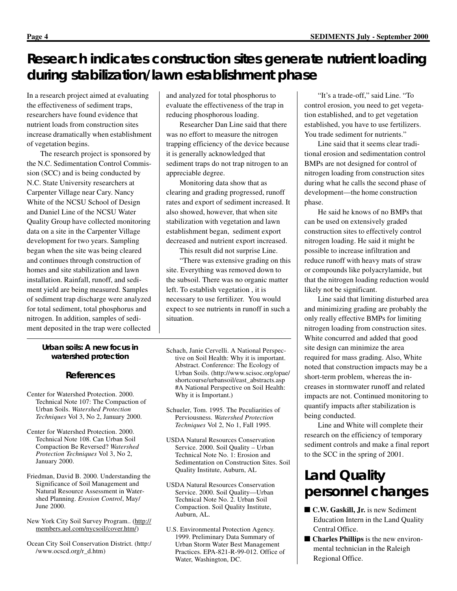# **Research indicates construction sites generate nutrient loading during stabilization/lawn establishment phase**

In a research project aimed at evaluating the effectiveness of sediment traps, researchers have found evidence that nutrient loads from construction sites increase dramatically when establishment of vegetation begins.

The research project is sponsored by the N.C. Sedimentation Control Commission (SCC) and is being conducted by N.C. State University researchers at Carpenter Village near Cary. Nancy White of the NCSU School of Design and Daniel Line of the NCSU Water Quality Group have collected monitoring data on a site in the Carpenter Village development for two years. Sampling began when the site was being cleared and continues through construction of homes and site stabilization and lawn installation. Rainfall, runoff, and sediment yield are being measured. Samples of sediment trap discharge were analyzed for total sediment, total phosphorus and nitrogen. In addition, samples of sediment deposited in the trap were collected

#### *Urban soils: A new focus in watershed protection*

#### **References**

- Center for Watershed Protection. 2000. Technical Note 107: The Compaction of Urban Soils. *Watershed Protection Techniques* Vol 3, No 2, January 2000.
- Center for Watershed Protection. 2000. Technical Note 108. Can Urban Soil Compaction Be Reversed? *Watershed Protection Techniques* Vol 3, No 2, January 2000.
- Friedman, David B. 2000. Understanding the Significance of Soil Management and Natural Resource Assessment in Watershed Planning. *Erosion Control*, May/ June 2000.
- New York City Soil Survey Program.. (http:// members.aol.com/nycsoil/cover.htm/)
- Ocean City Soil Conservation District. (http:/ /www.ocscd.org/r\_d.htm)

and analyzed for total phosphorus to evaluate the effectiveness of the trap in reducing phosphorous loading.

Researcher Dan Line said that there was no effort to measure the nitrogen trapping efficiency of the device because it is generally acknowledged that sediment traps do not trap nitrogen to an appreciable degree.

Monitoring data show that as clearing and grading progressed, runoff rates and export of sediment increased. It also showed, however, that when site stabilization with vegetation and lawn establishment began, sediment export decreased and nutrient export increased.

This result did not surprise Line.

"There was extensive grading on this site. Everything was removed down to the subsoil. There was no organic matter left. To establish vegetation , it is necessary to use fertilizer. You would expect to see nutrients in runoff in such a situation.

- Schach, Janie Cervelli. A National Perspective on Soil Health: Why it is important. Abstract. Conference: The Ecology of Urban Soils. (http://www.scisoc.org/opae/ shortcourse/urbansoil/east\_abstracts.asp #A National Perspective on Soil Health: Why it is Important.)
- Schueler, Tom. 1995. The Peculiarities of Perviousness. *Watershed Protection Techniques* Vol 2, No 1, Fall 1995.
- USDA Natural Resources Conservation Service. 2000. Soil Quality – Urban Technical Note No. 1: Erosion and Sedimentation on Construction Sites. Soil Quality Institute, Auburn, AL
- USDA Natural Resources Conservation Service. 2000. Soil Quality—Urban Technical Note No. 2. Urban Soil Compaction. Soil Quality Institute, Auburn, AL.
- U.S. Environmental Protection Agency. 1999. Preliminary Data Summary of Urban Storm Water Best Management Practices. EPA-821-R-99-012. Office of Water, Washington, DC.

"It's a trade-off," said Line. "To control erosion, you need to get vegetation established, and to get vegetation established, you have to use fertilizers. You trade sediment for nutrients."

Line said that it seems clear traditional erosion and sedimentation control BMPs are not designed for control of nitrogen loading from construction sites during what he calls the second phase of development—the home construction phase.

He said he knows of no BMPs that can be used on extensively graded construction sites to effectively control nitrogen loading. He said it might be possible to increase infiltration and reduce runoff with heavy mats of straw or compounds like polyacrylamide, but that the nitrogen loading reduction would likely not be significant.

Line said that limiting disturbed area and minimizing grading are probably the only really effective BMPs for limiting nitrogen loading from construction sites. White concurred and added that good site design can minimize the area required for mass grading. Also, White noted that construction impacts may be a short-term problem, whereas the increases in stormwater runoff and related impacts are not. Continued monitoring to quantify impacts after stabilization is being conducted.

Line and White will complete their research on the efficiency of temporary sediment controls and make a final report to the SCC in the spring of 2001.

# **Land Quality personnel changes**

- **C.W. Gaskill, Jr.** is new Sediment Education Intern in the Land Quality Central Office.
- **Charles Phillips** is the new environmental technician in the Raleigh Regional Office.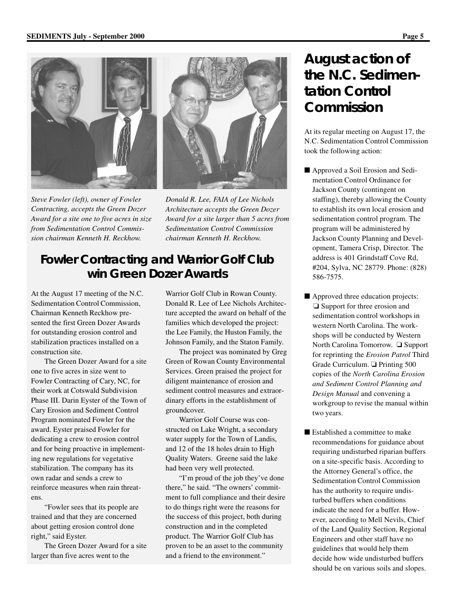

*Steve Fowler (left), owner of Fowler Contracting, accepts the Green Dozer Award for a site one to five acres in size from Sedimentation Control Commission chairman Kenneth H. Reckhow.*



*Donald R. Lee, FAIA of Lee Nichols Architecture accepts the Green Dozer Award for a site larger than 5 acres from Sedimentation Control Commission chairman Kenneth H. Reckhow.*

# **Fowler Contracting and Warrior Golf Club win Green Dozer Awards**

At the August 17 meeting of the N.C. Sedimentation Control Commission, Chairman Kenneth Reckhow presented the first Green Dozer Awards for outstanding erosion control and stabilization practices installed on a construction site.

The Green Dozer Award for a site one to five acres in size went to Fowler Contracting of Cary, NC, for their work at Cotswald Subdivision Phase III. Darin Eyster of the Town of Cary Erosion and Sediment Control Program nominated Fowler for the award. Eyster praised Fowler for dedicating a crew to erosion control and for being proactive in implementing new regulations for vegetative stabilization. The company has its own radar and sends a crew to reinforce measures when rain threatens.

"Fowler sees that its people are trained and that they are concerned about getting erosion control done right," said Eyster.

The Green Dozer Award for a site larger than five acres went to the

Warrior Golf Club in Rowan County. Donald R. Lee of Lee Nichols Architecture accepted the award on behalf of the families which developed the project: the Lee Family, the Huston Family, the Johnson Family, and the Staton Family.

The project was nominated by Greg Green of Rowan County Environmental Services. Green praised the project for diligent maintenance of erosion and sediment control measures and extraordinary efforts in the establishment of groundcover.

Warrior Golf Course was constructed on Lake Wright, a secondary water supply for the Town of Landis, and 12 of the 18 holes drain to High Quality Waters. Greene said the lake had been very well protected.

"I'm proud of the job they've done there," he said. "The owners' commitment to full compliance and their desire to do things right were the reasons for the success of this project, both during construction and in the completed product. The Warrior Golf Club has proven to be an asset to the community and a friend to the environment."

# **August action of the N.C. Sedimentation Control Commission**

At its regular meeting on August 17, the N.C. Sedimentation Control Commission took the following action:

- Approved a Soil Erosion and Sedimentation Control Ordinance for Jackson County (contingent on staffing), thereby allowing the County to establish its own local erosion and sedimentation control program. The program will be administered by Jackson County Planning and Development, Tamera Crisp, Director. The address is 401 Grindstaff Cove Rd, #204, Sylva, NC 28779. Phone: (828) 586-7575.
- Approved three education projects: ❏ Support for three erosion and sedimentation control workshops in western North Carolina. The workshops will be conducted by Western North Carolina Tomorrow. ❏ Support for reprinting the *Erosion Patrol* Third Grade Curriculum. ❏ Printing 500 copies of the *North Carolina Erosion and Sediment Control Planning and Design Manual* and convening a workgroup to revise the manual within two years.
- Established a committee to make recommendations for guidance about requiring undisturbed riparian buffers on a site-specific basis. According to the Attorney General's office, the Sedimentation Control Commission has the authority to require undisturbed buffers when conditions indicate the need for a buffer. However, according to Mell Nevils, Chief of the Land Quality Section, Regional Engineers and other staff have no guidelines that would help them decide how wide undisturbed buffers should be on various soils and slopes.